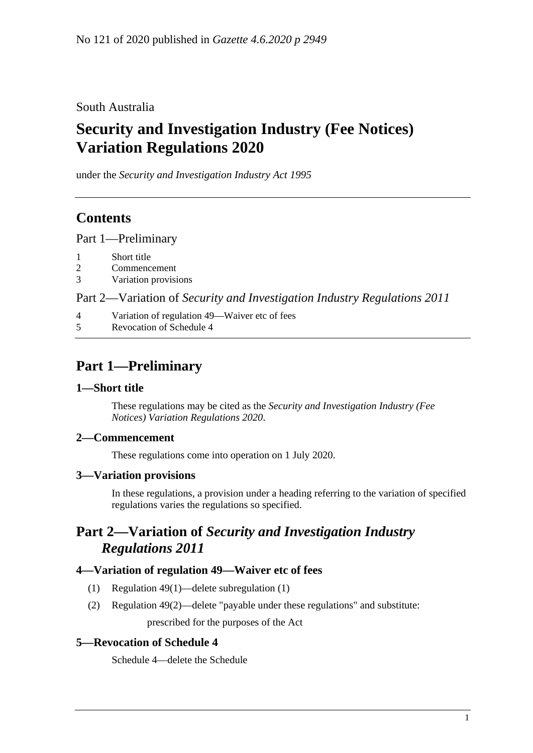South Australia

# **Security and Investigation Industry (Fee Notices) Variation Regulations 2020**

under the *Security and Investigation Industry Act 1995*

## **Contents**

Part [1—Preliminary](#page-0-0)

- 2 [Commencement](#page-0-2)
- 3 [Variation provisions](#page-0-3)

Part 2—Variation of *[Security and Investigation Industry Regulations](#page-0-4) 2011*

- 4 [Variation of regulation 49—Waiver etc of fees](#page-0-5)
- 5 [Revocation of Schedule 4](#page-0-6)

### <span id="page-0-0"></span>**Part 1—Preliminary**

#### <span id="page-0-1"></span>**1—Short title**

These regulations may be cited as the *Security and Investigation Industry (Fee Notices) Variation Regulations 2020*.

#### <span id="page-0-2"></span>**2—Commencement**

These regulations come into operation on 1 July 2020.

#### <span id="page-0-3"></span>**3—Variation provisions**

In these regulations, a provision under a heading referring to the variation of specified regulations varies the regulations so specified.

### <span id="page-0-4"></span>**Part 2—Variation of** *Security and Investigation Industry Regulations 2011*

#### <span id="page-0-5"></span>**4—Variation of regulation 49—Waiver etc of fees**

- (1) Regulation 49(1)—delete subregulation (1)
- (2) Regulation 49(2)—delete "payable under these regulations" and substitute: prescribed for the purposes of the Act

#### <span id="page-0-6"></span>**5—Revocation of Schedule 4**

Schedule 4—delete the Schedule